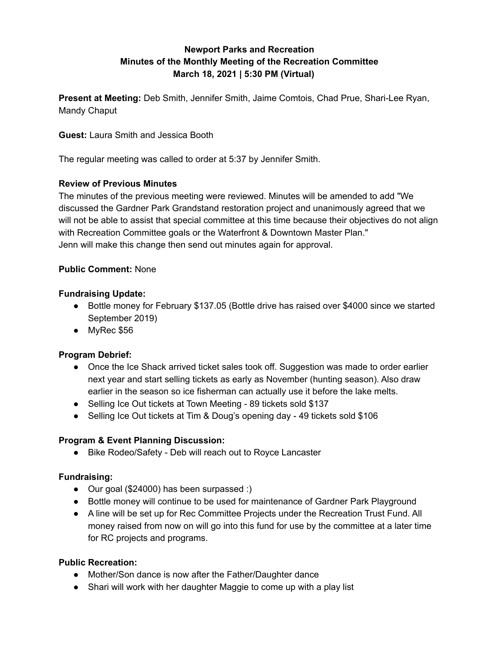# **Newport Parks and Recreation Minutes of the Monthly Meeting of the Recreation Committee March 18, 2021 | 5:30 PM (Virtual)**

**Present at Meeting:** Deb Smith, Jennifer Smith, Jaime Comtois, Chad Prue, Shari-Lee Ryan, Mandy Chaput

**Guest:** Laura Smith and Jessica Booth

The regular meeting was called to order at 5:37 by Jennifer Smith.

## **Review of Previous Minutes**

The minutes of the previous meeting were reviewed. Minutes will be amended to add "We discussed the Gardner Park Grandstand restoration project and unanimously agreed that we will not be able to assist that special committee at this time because their objectives do not align with Recreation Committee goals or the Waterfront & Downtown Master Plan." Jenn will make this change then send out minutes again for approval.

#### **Public Comment:** None

#### **Fundraising Update:**

- Bottle money for February \$137.05 (Bottle drive has raised over \$4000 since we started September 2019)
- MyRec \$56

## **Program Debrief:**

- Once the Ice Shack arrived ticket sales took off. Suggestion was made to order earlier next year and start selling tickets as early as November (hunting season). Also draw earlier in the season so ice fisherman can actually use it before the lake melts.
- Selling Ice Out tickets at Town Meeting 89 tickets sold \$137
- Selling Ice Out tickets at Tim & Doug's opening day 49 tickets sold \$106

## **Program & Event Planning Discussion:**

● Bike Rodeo/Safety - Deb will reach out to Royce Lancaster

## **Fundraising:**

- Our goal (\$24000) has been surpassed :)
- Bottle money will continue to be used for maintenance of Gardner Park Playground
- A line will be set up for Rec Committee Projects under the Recreation Trust Fund. All money raised from now on will go into this fund for use by the committee at a later time for RC projects and programs.

## **Public Recreation:**

- Mother/Son dance is now after the Father/Daughter dance
- Shari will work with her daughter Maggie to come up with a play list